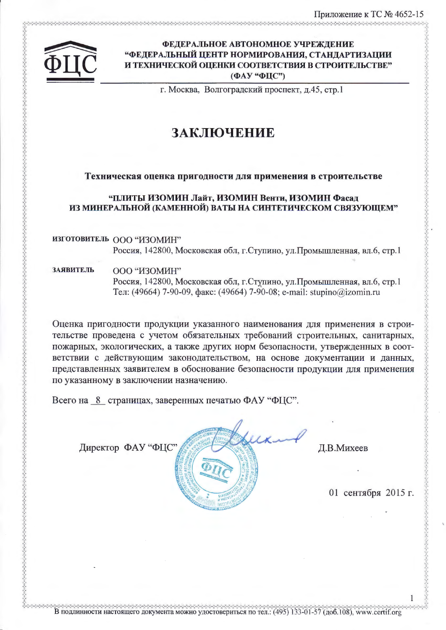ふえんえんえんえんえん こうしょうしょう こうしょうしょう こうしょうしょう こうしょうしょう こうしょうしょう こうしょうしょう こうしょうしょう こうこうしょう



## ФЕДЕРАЛЬНОЕ АВТОНОМНОЕ УЧРЕЖДЕНИЕ **"ФЕДЕРАЛЬНЫЙ ЦЕНТР НОРМИРОВАНИЯ, СТАНДАРТИЗАЦИИ** И ТЕХНИЧЕСКОЙ ОЦЕНКИ СООТВЕТСТВИЯ В СТРОИТЕЛЬСТВЕ" (ФАУ "ФЦС")

г. Москва, Волгоградский проспект, д.45, стр.1

# ЗАКЛЮЧЕНИЕ

# Техническая оценка пригодности для применения в строительстве

## "ПЛИТЫ ИЗОМИН Лайт, ИЗОМИН Венти, ИЗОМИН Фасад ИЗ МИНЕРАЛЬНОЙ (КАМЕННОЙ) ВАТЫ НА СИНТЕТИЧЕСКОМ СВЯЗУЮЩЕМ"

ИЗГОТОВИТЕЛЬ ООО "ИЗОМИН" Россия, 142800, Московская обл, г. Ступино, ул. Промышленная, вл.6, стр.1

**ЗАЯВИТЕЛЬ** ООО "ИЗОМИН" Россия, 142800, Московская обл, г.Ступино, ул.Промышленная, вл.6, стр.1 Тел: (49664) 7-90-09, факс: (49664) 7-90-08; e-mail: stupino@izomin.ru

Оценка пригодности продукции указанного наименования для применения в строительстве проведена с учетом обязательных требований строительных, санитарных, пожарных, экологических, а также других норм безопасности, утвержденных в соответствии с действующим законодательством, на основе документации и данных, представленных заявителем в обоснование безопасности продукции для применения по указанному в заключении назначению.

Всего на 8 страницах, заверенных печатью ФАУ "ФЦС".

Директор ФАУ "ФЦС"



Д.В.Михеев

01 сентября 2015 г.

В подлинности настоящего документа можно удостовериться по тел.: (495) 133-01-57 (доб.108), www.certif.org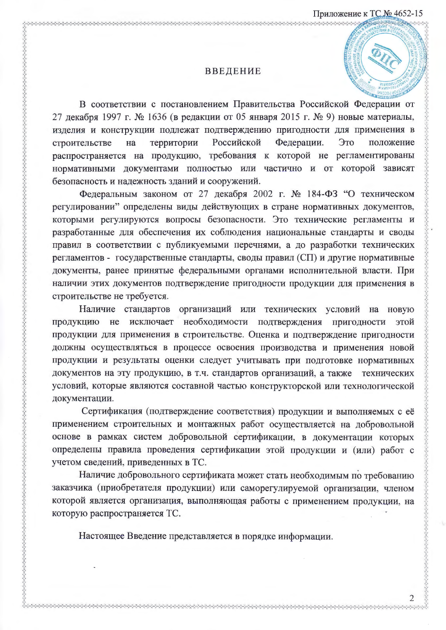#### **ВВЕДЕНИЕ**

В соответствии с постановлением Правительства Российской Федерации от 27 декабря 1997 г. № 1636 (в редакции от 05 января 2015 г. № 9) новые материалы, изделия и конструкции подлежат подтверждению пригодности для применения в Российской территории Федерации. Это положение строительстве на распространяется на продукцию, требования к которой не регламентированы нормативными документами полностью или частично и от которой зависят безопасность и надежность зданий и сооружений.

Федеральным законом от 27 декабря 2002 г. № 184-ФЗ "О техническом регулировании" определены виды действующих в стране нормативных документов, которыми регулируются вопросы безопасности. Это технические регламенты и разработанные для обеспечения их соблюдения национальные стандарты и своды правил в соответствии с публикуемыми перечнями, а до разработки технических регламентов - государственные стандарты, своды правил (СП) и другие нормативные документы, ранее принятые федеральными органами исполнительной власти. При наличии этих документов подтверждение пригодности продукции для применения в строительстве не требуется.

Наличие стандартов организаций или технических условий на новую продукцию не исключает необходимости подтверждения пригодности этой продукции для применения в строительстве. Оценка и подтверждение пригодности должны осуществляться в процессе освоения производства и применения новой продукции и результаты оценки следует учитывать при подготовке нормативных документов на эту продукцию, в т.ч. стандартов организаций, а также технических условий, которые являются составной частью конструкторской или технологической документации.

Сертификация (подтверждение соответствия) продукции и выполняемых с её применением строительных и монтажных работ осуществляется на добровольной основе в рамках систем добровольной сертификации, в документации которых определены правила проведения сертификации этой продукции и (или) работ с учетом сведений, приведенных в ТС.

Наличие добровольного сертификата может стать необходимым по требованию заказчика (приобретателя продукции) или саморегулируемой организации, членом которой является организация, выполняющая работы с применением продукции, на которую распространяется ТС.

Настоящее Введение представляется в порядке информации.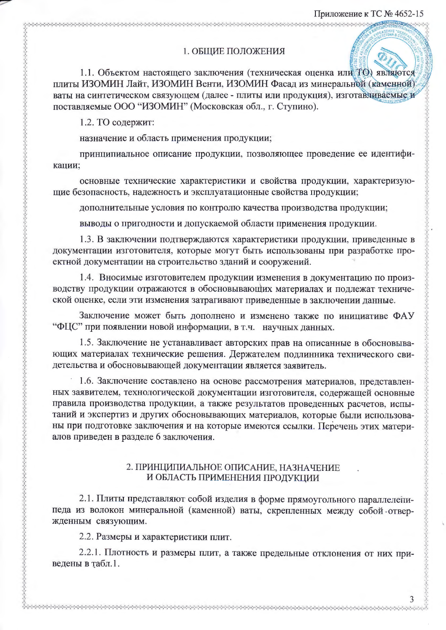#### 1. ОБЩИЕ ПОЛОЖЕНИЯ

1.1. Объектом настоящего заключения (техническая оценка или ТО) являются плиты ИЗОМИН Лайт, ИЗОМИН Венти, ИЗОМИН Фасад из минеральной (каменной) ваты на синтетическом связующем (далее - плиты или продукция), изготавливаемые и поставляемые ООО "ИЗОМИН" (Московская обл., г. Ступино).

1.2. ТО содержит:

назначение и область применения продукции;

ようしゃしゃしゃしゃしゃしゃしゃしゃしゃしゃしゃしゃしゃしゃしゃしゃしゃしゃ

принципиальное описание продукции, позволяющее проведение ее идентификации;

основные технические характеристики и свойства продукции, характеризующие безопасность, надежность и эксплуатационные свойства продукции;

дополнительные условия по контролю качества производства продукции;

выводы о пригодности и допускаемой области применения продукции.

1.3. В заключении подтверждаются характеристики продукции, приведенные в документации изготовителя, которые могут быть использованы при разработке проектной документации на строительство зданий и сооружений.

1.4. Вносимые изготовителем продукции изменения в документацию по производству продукции отражаются в обосновывающих материалах и подлежат технической оценке, если эти изменения затрагивают приведенные в заключении данные.

Заключение может быть дополнено и изменено также по инициативе ФАУ "ФЦС" при появлении новой информации, в т.ч. научных данных.

1.5. Заключение не устанавливает авторских прав на описанные в обосновывающих материалах технические решения. Держателем подлинника технического свидетельства и обосновывающей документации является заявитель.

1.6. Заключение составлено на основе рассмотрения материалов, представленных заявителем, технологической документации изготовителя, содержащей основные правила производства продукции, а также результатов проведенных расчетов, испытаний и экспертиз и других обосновывающих материалов, которые были использованы при подготовке заключения и на которые имеются ссылки. Перечень этих материалов приведен в разделе 6 заключения.

#### 2. ПРИНЦИПИАЛЬНОЕ ОПИСАНИЕ, НАЗНАЧЕНИЕ И ОБЛАСТЬ ПРИМЕНЕНИЯ ПРОДУКЦИИ

2.1. Плиты представляют собой изделия в форме прямоугольного параллеленипеда из волокон минеральной (каменной) ваты, скрепленных между собой отвержденным связующим.

2.2. Размеры и характеристики плит.

2.2.1. Плотность и размеры плит, а также предельные отклонения от них приведены в табл.1.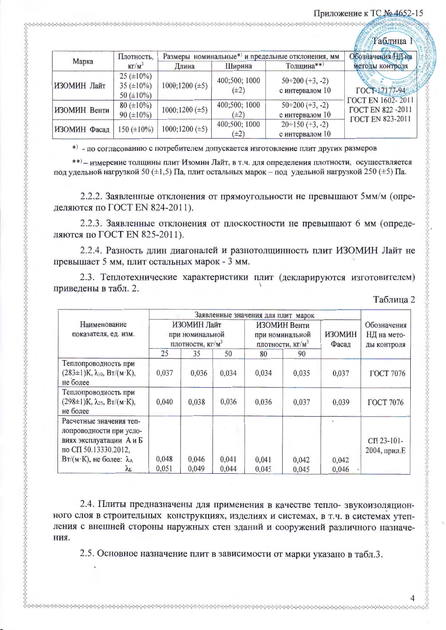## Приложение к ТС № 4652-15

|              |                                                           |                                                   |                            |                                           | «Таблица N                                          |
|--------------|-----------------------------------------------------------|---------------------------------------------------|----------------------------|-------------------------------------------|-----------------------------------------------------|
| Марка        | Плотность,                                                | Размеры номинальные*) и предельные отклонения, мм | Обозначения НД на          |                                           |                                                     |
|              | $K\Gamma/M^3$                                             | Длина                                             | Ширина                     | Толщина**)                                | методы контроля                                     |
| ИЗОМИН Лайт  | $25 (\pm 10\%)$<br>35 ( $\pm 10\%$ )<br>50 ( $\pm 10\%$ ) | $1000;1200 (\pm 5)$                               | 400;500; 1000<br>$(\pm 2)$ | $50 \div 200 (+3, -2)$<br>с интервалом 10 | ГОСТ 17177-94<br>ГОСТ EN 1602-2011                  |
| ИЗОМИН Венти | $80 (\pm 10\%)$<br>90 ( $\pm 10\%$ )                      | $1000;1200 (\pm 5)$                               | 400;500; 1000<br>$(\pm 2)$ | $50 \div 200$ (+3, -2)<br>с интервалом 10 | <b>FOCT EN 822 -2011</b><br><b>FOCT EN 823-2011</b> |
| ИЗОМИН Фасад | 150 $(\pm 10\%)$                                          | $1000;1200 (\pm 5)$                               | 400;500; 1000<br>$(\pm 2)$ | $20 \div 150 (+3, -2)$<br>с интервалом 10 |                                                     |

\*) - по согласованию с потребителем допускается изготовление плит других размеров

\*\*) - измерение толщины плит Изомин Лайт, в т.ч. для определения плотности, осуществляется под удельной нагрузкой 50 ( $\pm$ 1,5) Па, плит остальных марок - под удельной нагрузкой 250 ( $\pm$ 5) Па.

2.2.2. Заявленные отклонения от прямоугольности не превышают 5мм/м (определяются по ГОСТ EN 824-2011).

2.2.3. Заявленные отклонения от плоскостности не превышают 6 мм (определяются по ГОСТ EN 825-2011).

2.2.4. Разность длин диагоналей и разнотолщинность плит ИЗОМИН Лайт не превышает 5 мм, плит остальных марок - 3 мм.

2.3. Теплотехнические характеристики плит (декларируются изготовителем) приведены в табл. 2.

| Наименование<br>показателя, ед. изм.                                                                                                                     | ИЗОМИН Лайт<br>при номинальной<br>плотности, кг/м <sup>3</sup> |                |                | Заявленные значения для плит марок<br>ИЗОМИН Венти<br>при номинальной<br>плотности, кг/м <sup>3</sup> |                | <b>ИЗОМИН</b><br>Фасад | Обозначения<br>НД на мето-<br>ды контроля |
|----------------------------------------------------------------------------------------------------------------------------------------------------------|----------------------------------------------------------------|----------------|----------------|-------------------------------------------------------------------------------------------------------|----------------|------------------------|-------------------------------------------|
|                                                                                                                                                          | 25                                                             | 35             | 50<br>80       |                                                                                                       | 90             |                        |                                           |
| Теплопроводность при<br>$(283 \pm 1)K$ , $\lambda_{10}$ , $B_T/(M \cdot K)$ ,<br>не более                                                                | 0,037                                                          | 0,036          | 0,034          | 0,034                                                                                                 | 0,035          | 0,037                  | <b>ГОСТ 7076</b>                          |
| Теплопроводность при<br>$(298 \pm 1)$ K, $\lambda_{25}$ , BT/(M·K),<br>не более                                                                          | 0,040                                                          | 0,038          | 0,036          | 0.036                                                                                                 | 0,037          | 0,039                  | <b>ГОСТ 7076</b>                          |
| Расчетные значения теп-<br>лопроводности при усло-<br>виях эксплуатации А и Б<br>по СП 50.13330.2012,<br>$B_T/(M \cdot K)$ , не более: $\lambda_A$<br>ÅЕ | 0,048<br>0,051                                                 | 0,046<br>0.049 | 0,041<br>0,044 | 0,041<br>0,045                                                                                        | 0,042<br>0,045 | 0,042<br>0,046         | СП 23-101-<br>2004, прил.Е                |

Таблица 2

2.4. Плиты предназначены для применения в качестве тепло- звукоизоляционного слоя в строительных конструкциях, изделиях и системах, в т.ч. в системах утепления с внешней стороны наружных стен зданий и сооружений различного назначения.

2.5. Основное назначение плит в зависимости от марки указано в табл.3.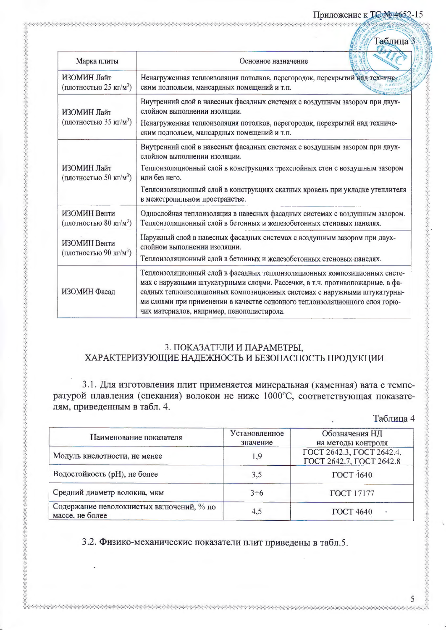#### Приложение к ТС № 4652-15

|                                                    | Г <del>а</del> блица                                                                                                                                                                                                                                                                                                                                               |
|----------------------------------------------------|--------------------------------------------------------------------------------------------------------------------------------------------------------------------------------------------------------------------------------------------------------------------------------------------------------------------------------------------------------------------|
| Марка плиты                                        | Основное назначение                                                                                                                                                                                                                                                                                                                                                |
| ИЗОМИН Лайт<br>(плотностью 25 кг/м <sup>3</sup> )  | Ненагруженная теплоизоляция потолков, перегородок, перекрытий над техниче-<br>ским подпольем, мансардных помещений и т.п.                                                                                                                                                                                                                                          |
| ИЗОМИН Лайт<br>(плотностью 35 кг/м <sup>3</sup> )  | Внутренний слой в навесных фасадных системах с воздушным зазором при двух-<br>слойном выполнении изоляции.<br>Ненагруженная теплоизоляция потолков, перегородок, перекрытий над техниче-<br>ским подпольем, мансардных помещений и т.п.                                                                                                                            |
| ИЗОМИН Лайт<br>(плотностью 50 кг/м <sup>3</sup> )  | Внутренний слой в навесных фасадных системах с воздушным зазором при двух-<br>слойном выполнении изоляции.<br>Теплоизоляционный слой в конструкциях трехслойных стен с воздушным зазором<br>или без него.<br>Теплоизоляционный слой в конструкциях скатных кровель при укладке утеплителя<br>в межстропильном пространстве.                                        |
| ИЗОМИН Венти<br>(плотностью 80 кг/м <sup>3</sup> ) | Однослойная теплоизоляция в навесных фасадных системах с воздушным зазором.<br>Теплоизоляционный слой в бетонных и железобетонных стеновых панелях.                                                                                                                                                                                                                |
| ИЗОМИН Венти<br>(плотностью 90 кг/м <sup>3</sup> ) | Наружный слой в навесных фасадных системах с воздушным зазором при двух-<br>слойном выполнении изоляции.<br>Теплоизоляционный слой в бетонных и железобетонных стеновых панелях.                                                                                                                                                                                   |
| ИЗОМИН Фасад                                       | Теплоизоляционный слой в фасадных теплоизоляционных композиционных систе-<br>мах с наружными штукатурными слоями. Рассечки, в т.ч. противопожарные, в фа-<br>садных теплоизоляционных композиционных системах с наружными штукатурны-<br>ми слоями при применении в качестве основного теплоизоляционного слоя горю-<br>чих материалов, например, пенополистирола. |

# 3. ПОКАЗАТЕЛИ И ПАРАМЕТРЫ, ХАРАКТЕРИЗУЮЩИЕ НАДЕЖНОСТЬ И БЕЗОПАСНОСТЬ ПРОДУКЦИИ

3.1. Для изготовления плит применяется минеральная (каменная) вата с температурой плавления (спекания) волокон не ниже 1000°С, соответствующая показателям, приведенным в табл. 4.

## Таблица 4

| Наименование показателя                                     | Установленное<br>значение | Обозначения НД<br>на методы контроля                  |
|-------------------------------------------------------------|---------------------------|-------------------------------------------------------|
| Модуль кислотности, не менее                                | 1,9                       | ГОСТ 2642.3, ГОСТ 2642.4,<br>ГОСТ 2642.7, ГОСТ 2642.8 |
| Водостойкость (рН), не более                                | 3,5                       | <b>ГОСТ 4640</b>                                      |
| Средний диаметр волокна, мкм                                | $3\div 6$                 | <b>ГОСТ</b> 17177                                     |
| Содержание неволокнистых включений, % по<br>массе, не более | 4,5                       | <b>ГОСТ 4640</b><br>$\breve{\phantom{a}}$             |

3.2. Физико-механические показатели плит приведены в табл.5.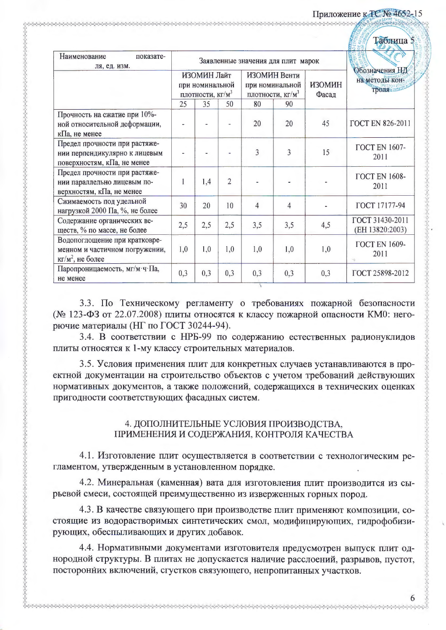#### Приложение к ТС № 4652-15

|                                                                                               |                                                                |     |                                                                 |                |                        |                                           | Табяица 5                          |
|-----------------------------------------------------------------------------------------------|----------------------------------------------------------------|-----|-----------------------------------------------------------------|----------------|------------------------|-------------------------------------------|------------------------------------|
| Наименование<br>показате-<br>ля, ед. изм.                                                     | Заявленные значения для плит марок                             |     |                                                                 |                |                        |                                           |                                    |
|                                                                                               | ИЗОМИН Лайт<br>при номинальной<br>плотности, кг/м <sup>3</sup> |     | ИЗОМИН Венти<br>при номинальной<br>плотности, кг/м <sup>3</sup> |                | <b>ИЗОМИН</b><br>Фасад | Обозначения НД<br>на методы кон-<br>троля |                                    |
|                                                                                               | 25                                                             | 35  | 50                                                              | 80             | 90                     |                                           |                                    |
| Прочность на сжатие при 10%-<br>ной относительной деформации,<br>кПа, не менее                |                                                                |     |                                                                 | 20             | 20                     | 45                                        | <b>TOCT EN 826-2011</b>            |
| Предел прочности при растяже-<br>нии перпендикулярно к лицевым<br>поверхностям, кПа, не менее |                                                                |     |                                                                 | 3              | $\overline{3}$         | 15                                        | ГОСТ EN 1607-<br>2011              |
| Предел прочности при растяже-<br>нии параллельно лицевым по-<br>верхностям, кПа, не менее     | 1                                                              | 1,4 | 2                                                               |                |                        |                                           | <b>FOCT EN 1608-</b><br>2011       |
| Сжимаемость под удельной<br>нагрузкой 2000 Па, %, не более                                    | 30                                                             | 20  | 10                                                              | $\overline{4}$ | 4                      |                                           | ГОСТ 17177-94                      |
| Содержание органических ве-<br>ществ, % по массе, не более                                    | 2,5                                                            | 2,5 | 2,5                                                             | 3,5            | 3,5                    | 4,5                                       | ГОСТ 31430-2011<br>(EH 13820:2003) |
| Водопоглощение при кратковре-<br>менном и частичном погружении,<br>$KT/M^2$ , не более        | 1,0                                                            | 1,0 | 1,0                                                             | 1,0            | 1,0                    | 1,0                                       | <b>FOCT EN 1609-</b><br>2011       |
| Паропроницаемость, мг/м·ч· Па,<br>не менее                                                    | 0,3                                                            | 0,3 | 0,3                                                             | 0,3            | 0,3                    | 0,3                                       | ГОСТ 25898-2012                    |

3.3. По Техническому регламенту о требованиях пожарной безопасности (№ 123-ФЗ от 22.07.2008) плиты относятся к классу пожарной опасности КМ0: негорючие материалы (НГ по ГОСТ 30244-94).

3.4. В соответствии с НРБ-99 по содержанию естественных радионуклидов плиты относятся к 1-му классу строительных материалов.

3.5. Условия применения плит для конкретных случаев устанавливаются в проектной документации на строительство объектов с учетом требований действующих нормативных документов, а также положений, содержащихся в технических оценках пригодности соответствующих фасадных систем.

## 4. ДОПОЛНИТЕЛЬНЫЕ УСЛОВИЯ ПРОИЗВОДСТВА, ПРИМЕНЕНИЯ И СОДЕРЖАНИЯ, КОНТРОЛЯ КАЧЕСТВА

4.1. Изготовление плит осуществляется в соответствии с технологическим регламентом, утвержденным в установленном порядке.

4.2. Минеральная (каменная) вата для изготовления плит производится из сырьевой смеси, состоящей преимущественно из изверженных горных пород.

4.3. В качестве связующего при производстве плит применяют композиции, состоящие из водорастворимых синтетических смол, модифицирующих, гидрофобизирующих, обеспыливающих и других добавок.

4.4. Нормативными документами изготовителя предусмотрен выпуск плит однородной структуры. В плитах не допускается наличие расслоений, разрывов, пустот, посторонних включений, сгустков связующего, непропитанных участков.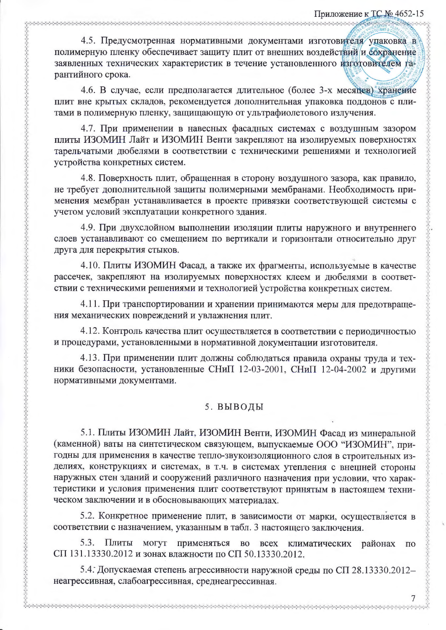4.5. Предусмотренная нормативными документами изготовителя упаковка в полимерную пленку обеспечивает защиту плит от внешних воздействий и сохранение заявленных технических характеристик в течение установленного изготовителем гарантийного срока.

4.6. В случае, если предполагается длительное (более 3-х месяцев) хранение плит вне крытых складов, рекомендуется дополнительная упаковка поддонов с плитами в полимерную пленку, защищающую от ультрафиолетового излучения.

4.7. При применении в навесных фасадных системах с воздушным зазором плиты ИЗОМИН Лайт и ИЗОМИН Венти закрепляют на изолируемых поверхностях тарельчатыми дюбелями в соответствии с техническими решениями и технологией устройства конкретных систем.

4.8. Поверхность плит, обращенная в сторону воздушного зазора, как правило, не требует дополнительной защиты полимерными мембранами. Необходимость применения мембран устанавливается в проекте привязки соответствующей системы с учетом условий эксплуатации конкретного здания.

4.9. При двухслойном выполнении изоляции плиты наружного и внутреннего слоев устанавливают со смещением по вертикали и горизонтали относительно друг друга для перекрытия стыков.

4.10. Плиты ИЗОМИН Фасад, а также их фрагменты, используемые в качестве рассечек, закрепляют на изолируемых поверхностях клеем и дюбелями в соответствии с техническими решениями и технологией устройства конкретных систем.

4.11. При транспортировании и хранении принимаются меры для предотвращения механических повреждений и увлажнения плит.

4.12. Контроль качества плит осуществляется в соответствии с периодичностью и процедурами, установленными в нормативной документации изготовителя.

4.13. При применении плит должны соблюдаться правила охраны труда и техники безопасности, установленные СНиП 12-03-2001, СНиП 12-04-2002 и другими нормативными документами.

# 5. ВЫВОДЫ

5.1. Плиты ИЗОМИН Лайт, ИЗОМИН Венти, ИЗОМИН Фасад из минеральной (каменной) ваты на синтетическом связующем, выпускаемые ООО "ИЗОМИН", пригодны для применения в качестве тепло-звукоизоляционного слоя в строительных изделиях, конструкциях и системах, в т.ч. в системах утепления с внешней стороны наружных стен зданий и сооружений различного назначения при условии, что характеристики и условия применения плит соответствуют принятым в настоящем техническом заключении и в обосновывающих материалах.

5.2. Конкретное применение плит, в зависимости от марки, осуществляется в соответствии с назначением, указанным в табл. 3 настоящего заключения.

5.3. Плиты могут применяться **BO BCCX** климатических районах  $\Pi$ O СП 131.13330.2012 и зонах влажности по СП 50.13330.2012.

5.4. Допускаемая степень агрессивности наружной среды по СП 28.13330.2012неагрессивная, слабоагрессивная, среднеагрессивная.